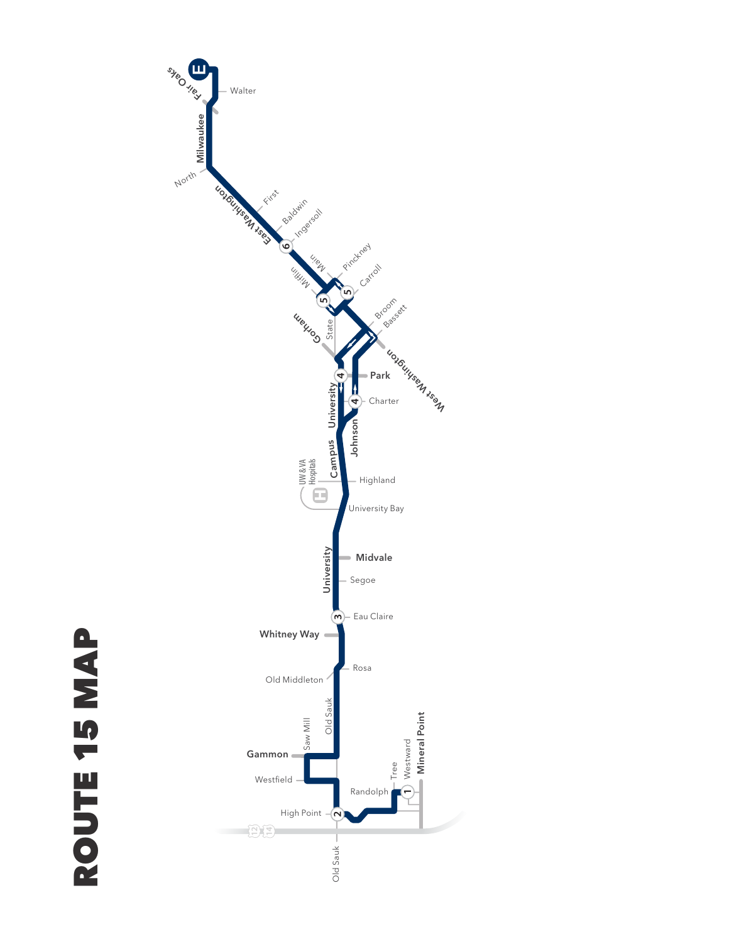

ROUTE 15 MAP ROUTE 15 MAP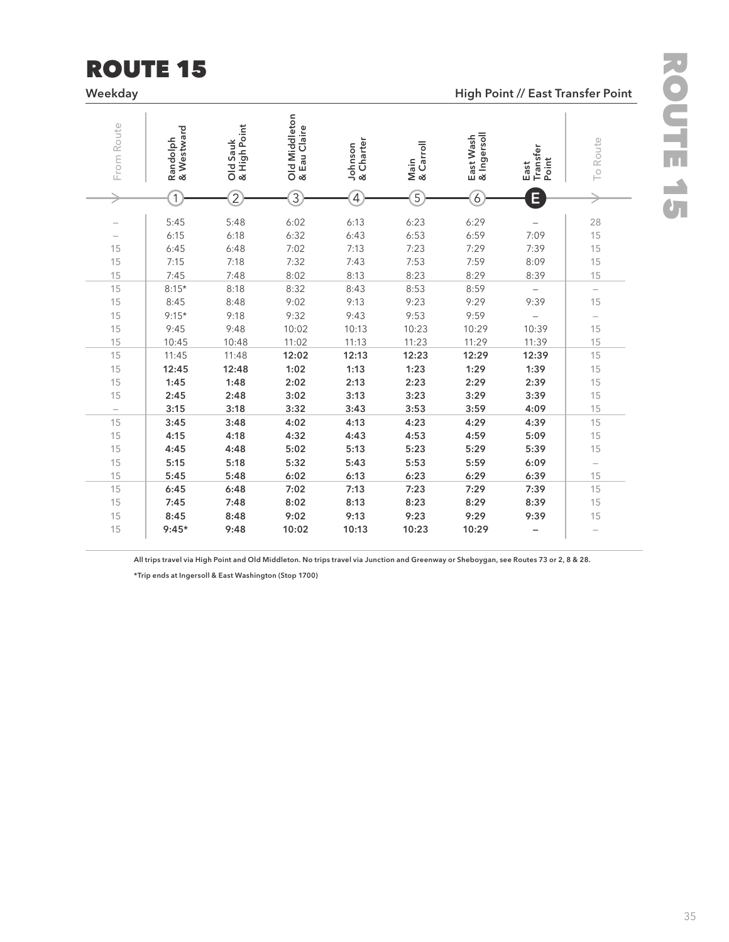## ROUTE 15

**Weekday High Point // East Transfer Point**

| From Route                     | & Westward<br>Randolph | & High Point<br>Old Sauk | Old Middleton<br>& Eau Claire | & Charter<br>Johnson | Main<br>& Carroll | East Wash<br>& Ingersoll | Transfer<br>Point<br>East | To Route                 |
|--------------------------------|------------------------|--------------------------|-------------------------------|----------------------|-------------------|--------------------------|---------------------------|--------------------------|
|                                | 1                      | $\overline{2}$           | $\overline{3}$                | $\overline{4}$       | $\overline{5}$    | $\overline{6}$           | E                         |                          |
| $\overline{\phantom{0}}$       | 5:45<br>6:15           | 5:48<br>6:18             | 6:02<br>6:32                  | 6:13<br>6:43         | 6:23<br>6:53      | 6:29<br>6:59             | 7:09                      | 28<br>15                 |
| 15                             | 6:45                   | 6:48                     | 7:02                          | 7:13                 | 7:23              | 7:29                     | 7:39                      | 15                       |
| 15                             | 7:15                   | 7:18                     | 7:32                          | 7:43                 | 7:53              | 7:59                     | 8:09                      | 15                       |
| 15                             | 7:45                   | 7:48                     | 8:02                          | 8:13                 | 8:23              | 8:29                     | 8:39                      | 15                       |
| 15                             | $8:15*$                | 8:18                     | 8:32                          | 8:43                 | 8:53              | 8:59                     |                           | $\overline{\phantom{0}}$ |
| 15                             | 8:45                   | 8:48                     | 9:02                          | 9:13                 | 9:23              | 9:29                     | 9:39                      | 15                       |
| 15                             | $9:15*$                | 9:18                     | 9:32                          | 9:43                 | 9:53              | 9:59                     |                           | $\qquad \qquad -$        |
| 15                             | 9:45                   | 9:48                     | 10:02                         | 10:13                | 10:23             | 10:29                    | 10:39                     | 15                       |
| 15                             | 10:45                  | 10:48                    | 11:02                         | 11:13                | 11:23             | 11:29                    | 11:39                     | 15                       |
| 15                             | 11:45                  | 11:48                    | 12:02                         | 12:13                | 12:23             | 12:29                    | 12:39                     | 15                       |
| 15                             | 12:45                  | 12:48                    | 1:02                          | 1:13                 | 1:23              | 1:29                     | 1:39                      | 15                       |
| 15                             | 1:45                   | 1:48                     | 2:02<br>3:02                  | 2:13                 | 2:23              | 2:29                     | 2:39                      | 15                       |
| 15                             | 2:45<br>3:15           | 2:48<br>3:18             | 3:32                          | 3:13<br>3:43         | 3:23<br>3:53      | 3:29<br>3:59             | 3:39<br>4:09              | 15<br>15                 |
| $\overline{\phantom{0}}$<br>15 | 3:45                   | 3:48                     | 4:02                          | 4:13                 | 4:23              | 4:29                     | 4:39                      | 15                       |
| 15                             | 4:15                   | 4:18                     | 4:32                          | 4:43                 | 4:53              | 4:59                     | 5:09                      | 15                       |
| 15                             | 4:45                   | 4:48                     | 5:02                          | 5:13                 | 5:23              | 5:29                     | 5:39                      | 15                       |
| 15                             | 5:15                   | 5:18                     | 5:32                          | 5:43                 | 5:53              | 5:59                     | 6:09                      | $\qquad \qquad -$        |
| 15                             | 5:45                   | 5:48                     | 6:02                          | 6:13                 | 6:23              | 6:29                     | 6:39                      | 15                       |
| 15                             | 6:45                   | 6:48                     | 7:02                          | 7:13                 | 7:23              | 7:29                     | 7:39                      | 15                       |
| 15                             | 7:45                   | 7:48                     | 8:02                          | 8:13                 | 8:23              | 8:29                     | 8:39                      | 15                       |
| 15                             | 8:45                   | 8:48                     | 9:02                          | 9:13                 | 9:23              | 9:29                     | 9:39                      | 15                       |
| 15                             | $9:45*$                | 9:48                     | 10:02                         | 10:13                | 10:23             | 10:29                    |                           |                          |

**All trips travel via High Point and Old Middleton. No trips travel via Junction and Greenway or Sheboygan, see Routes 73 or 2, 8 & 28.**

**\*Trip ends at Ingersoll & East Washington (Stop 1700)**